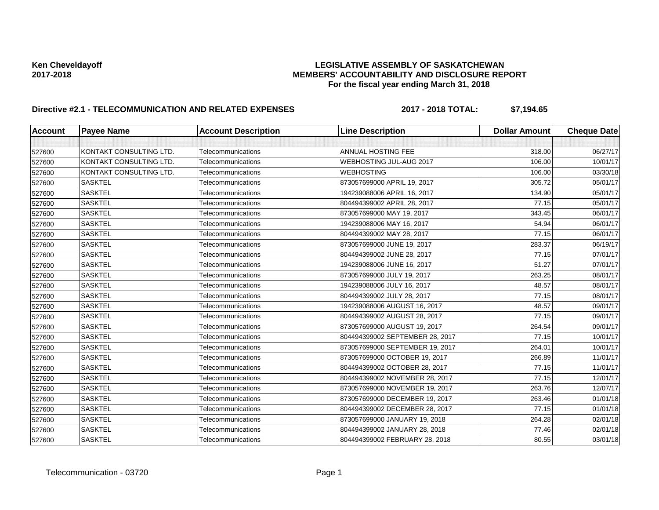# Ken Cheveldayoff **Research Exercise Assumption Cheveldayoff**<br>MEMBERS' ACCOUNTABILITY AND DISCLOSURE REF **2017-2018 MEMBERS' ACCOUNTABILITY AND DISCLOSURE REPORT For the fiscal year ending March 31, 2018**

# **Directive #2.1 - TELECOMMUNICATION AND RELATED EXPENSES 2017 - 2018 TOTAL: \$7,194.65**

| <b>Account</b> | <b>Payee Name</b>       | <b>Account Description</b> | <b>Line Description</b>         | <b>Dollar Amount</b> | <b>Cheque Date</b> |
|----------------|-------------------------|----------------------------|---------------------------------|----------------------|--------------------|
|                |                         |                            |                                 |                      |                    |
| 527600         | KONTAKT CONSULTING LTD. | Telecommunications         | <b>ANNUAL HOSTING FEE</b>       | 318.00               | 06/27/17           |
| 527600         | KONTAKT CONSULTING LTD. | Telecommunications         | WEBHOSTING JUL-AUG 2017         | 106.00               | 10/01/17           |
| 527600         | KONTAKT CONSULTING LTD. | Telecommunications         | <b>WEBHOSTING</b>               | 106.00               | 03/30/18           |
| 527600         | <b>SASKTEL</b>          | Telecommunications         | 873057699000 APRIL 19, 2017     | 305.72               | 05/01/17           |
| 527600         | <b>SASKTEL</b>          | Telecommunications         | 194239088006 APRIL 16, 2017     | 134.90               | 05/01/17           |
| 527600         | <b>SASKTEL</b>          | Telecommunications         | 804494399002 APRIL 28, 2017     | 77.15                | 05/01/17           |
| 527600         | <b>SASKTEL</b>          | Telecommunications         | 873057699000 MAY 19, 2017       | 343.45               | 06/01/17           |
| 527600         | <b>SASKTEL</b>          | Telecommunications         | 194239088006 MAY 16, 2017       | 54.94                | 06/01/17           |
| 527600         | <b>SASKTEL</b>          | Telecommunications         | 804494399002 MAY 28, 2017       | 77.15                | 06/01/17           |
| 527600         | <b>SASKTEL</b>          | Telecommunications         | 873057699000 JUNE 19, 2017      | 283.37               | 06/19/17           |
| 527600         | <b>SASKTEL</b>          | Telecommunications         | 804494399002 JUNE 28, 2017      | 77.15                | 07/01/17           |
| 527600         | <b>SASKTEL</b>          | Telecommunications         | 194239088006 JUNE 16, 2017      | 51.27                | 07/01/17           |
| 527600         | <b>SASKTEL</b>          | Telecommunications         | 873057699000 JULY 19, 2017      | 263.25               | 08/01/17           |
| 527600         | <b>SASKTEL</b>          | Telecommunications         | 194239088006 JULY 16, 2017      | 48.57                | 08/01/17           |
| 527600         | <b>SASKTEL</b>          | Telecommunications         | 804494399002 JULY 28, 2017      | 77.15                | 08/01/17           |
| 527600         | <b>SASKTEL</b>          | Telecommunications         | 194239088006 AUGUST 16, 2017    | 48.57                | 09/01/17           |
| 527600         | <b>SASKTEL</b>          | Telecommunications         | 804494399002 AUGUST 28, 2017    | 77.15                | 09/01/17           |
| 527600         | <b>SASKTEL</b>          | Telecommunications         | 873057699000 AUGUST 19, 2017    | 264.54               | 09/01/17           |
| 527600         | <b>SASKTEL</b>          | Telecommunications         | 804494399002 SEPTEMBER 28, 2017 | 77.15                | 10/01/17           |
| 527600         | <b>SASKTEL</b>          | Telecommunications         | 873057699000 SEPTEMBER 19, 2017 | 264.01               | 10/01/17           |
| 527600         | <b>SASKTEL</b>          | Telecommunications         | 873057699000 OCTOBER 19, 2017   | 266.89               | 11/01/17           |
| 527600         | <b>SASKTEL</b>          | Telecommunications         | 804494399002 OCTOBER 28, 2017   | 77.15                | 11/01/17           |
| 527600         | <b>SASKTEL</b>          | Telecommunications         | 804494399002 NOVEMBER 28, 2017  | 77.15                | 12/01/17           |
| 527600         | <b>SASKTEL</b>          | Telecommunications         | 873057699000 NOVEMBER 19, 2017  | 263.76               | 12/07/17           |
| 527600         | <b>SASKTEL</b>          | Telecommunications         | 873057699000 DECEMBER 19, 2017  | 263.46               | 01/01/18           |
| 527600         | <b>SASKTEL</b>          | Telecommunications         | 804494399002 DECEMBER 28, 2017  | 77.15                | 01/01/18           |
| 527600         | <b>SASKTEL</b>          | Telecommunications         | 873057699000 JANUARY 19, 2018   | 264.28               | 02/01/18           |
| 527600         | <b>SASKTEL</b>          | Telecommunications         | 804494399002 JANUARY 28, 2018   | 77.46                | 02/01/18           |
| 527600         | <b>SASKTEL</b>          | Telecommunications         | 804494399002 FEBRUARY 28, 2018  | 80.55                | 03/01/18           |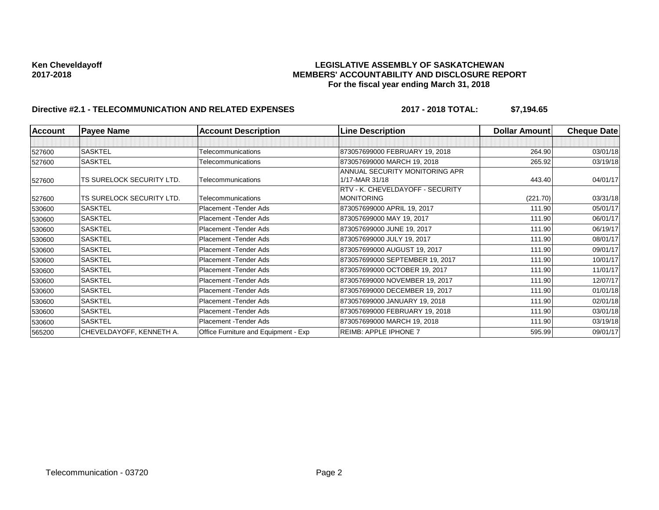# Ken Cheveldayoff **Research Exercise Assumption Cheveldayoff**<br>MEMBERS' ACCOUNTABILITY AND DISCLOSURE REF **2017-2018 MEMBERS' ACCOUNTABILITY AND DISCLOSURE REPORT For the fiscal year ending March 31, 2018**

# **Directive #2.1 - TELECOMMUNICATION AND RELATED EXPENSES 2017 - 2018 TOTAL: \$7,194.65**

| <b>Account</b> | <b>Payee Name</b>         | <b>Account Description</b>           | <b>Line Description</b>                          | <b>Dollar Amountl</b> | <b>Cheque Date</b> |
|----------------|---------------------------|--------------------------------------|--------------------------------------------------|-----------------------|--------------------|
|                |                           |                                      |                                                  |                       |                    |
| 527600         | <b>SASKTEL</b>            | Telecommunications                   | 873057699000 FEBRUARY 19, 2018                   | 264.90                | 03/01/18           |
| 527600         | <b>SASKTEL</b>            | Telecommunications                   | 873057699000 MARCH 19, 2018                      | 265.92                | 03/19/18           |
| 527600         | TS SURELOCK SECURITY LTD. | Telecommunications                   | ANNUAL SECURITY MONITORING APR<br>1/17-MAR 31/18 | 443.40                | 04/01/17           |
|                |                           |                                      | RTV - K. CHEVELDAYOFF - SECURITY                 |                       |                    |
| 527600         | TS SURELOCK SECURITY LTD. | Telecommunications                   | MONITORING                                       | (221.70)              | 03/31/18           |
| 530600         | <b>SASKTEL</b>            | Placement - Tender Ads               | 873057699000 APRIL 19, 2017                      | 111.90                | 05/01/17           |
| 530600         | <b>SASKTEL</b>            | Placement - Tender Ads               | 873057699000 MAY 19, 2017                        | 111.90                | 06/01/17           |
| 530600         | <b>SASKTEL</b>            | Placement - Tender Ads               | 873057699000 JUNE 19, 2017                       | 111.90                | 06/19/17           |
| 530600         | <b>SASKTEL</b>            | Placement - Tender Ads               | 873057699000 JULY 19, 2017                       | 111.90                | 08/01/17           |
| 530600         | <b>SASKTEL</b>            | Placement - Tender Ads               | 873057699000 AUGUST 19, 2017                     | 111.90                | 09/01/17           |
| 530600         | <b>SASKTEL</b>            | Placement - Tender Ads               | 873057699000 SEPTEMBER 19, 2017                  | 111.90                | 10/01/17           |
| 530600         | <b>SASKTEL</b>            | Placement - Tender Ads               | 873057699000 OCTOBER 19, 2017                    | 111.90                | 11/01/17           |
| 530600         | <b>SASKTEL</b>            | Placement - Tender Ads               | 873057699000 NOVEMBER 19, 2017                   | 111.90                | 12/07/17           |
| 530600         | <b>SASKTEL</b>            | Placement - Tender Ads               | 873057699000 DECEMBER 19, 2017                   | 111.90                | 01/01/18           |
| 530600         | <b>SASKTEL</b>            | Placement - Tender Ads               | 873057699000 JANUARY 19, 2018                    | 111.90                | 02/01/18           |
| 530600         | <b>SASKTEL</b>            | Placement - Tender Ads               | 873057699000 FEBRUARY 19, 2018                   | 111.90                | 03/01/18           |
| 530600         | <b>SASKTEL</b>            | Placement - Tender Ads               | 873057699000 MARCH 19, 2018                      | 111.90                | 03/19/18           |
| 565200         | CHEVELDAYOFF, KENNETH A.  | Office Furniture and Equipment - Exp | REIMB: APPLE IPHONE 7                            | 595.99                | 09/01/17           |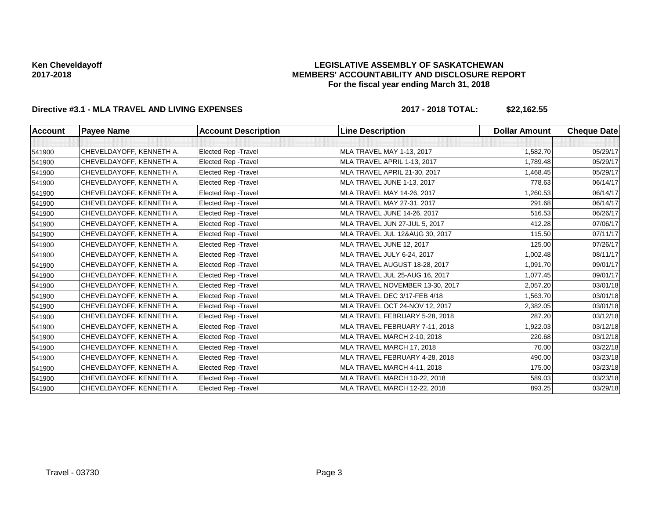### **LEGISLATIVE ASSEMBLY OF SASKATCHEWAN MEMBERS' ACCOUNTABILITY AND DISCLOSURE REPORT For the fiscal year ending March 31, 2018**

# **Directive #3.1 - MLA TRAVEL AND LIVING EXPENSES 2017 - 2018 TOTAL: \$22,162.55**

| Account | <b>Payee Name</b>        | <b>Account Description</b>  | <b>Line Description</b>         | <b>Dollar Amount</b> | <b>Cheque Date</b> |
|---------|--------------------------|-----------------------------|---------------------------------|----------------------|--------------------|
|         |                          |                             |                                 |                      |                    |
| 541900  | CHEVELDAYOFF, KENNETH A. | <b>Elected Rep - Travel</b> | MLA TRAVEL MAY 1-13, 2017       | 1,582.70             | 05/29/17           |
| 541900  | CHEVELDAYOFF, KENNETH A. | Elected Rep - Travel        | MLA TRAVEL APRIL 1-13, 2017     | 1,789.48             | 05/29/17           |
| 541900  | CHEVELDAYOFF, KENNETH A. | Elected Rep - Travel        | MLA TRAVEL APRIL 21-30, 2017    | 1,468.45             | 05/29/17           |
| 541900  | CHEVELDAYOFF, KENNETH A. | Elected Rep - Travel        | MLA TRAVEL JUNE 1-13, 2017      | 778.63               | 06/14/17           |
| 541900  | CHEVELDAYOFF, KENNETH A. | Elected Rep - Travel        | MLA TRAVEL MAY 14-26, 2017      | 1,260.53             | 06/14/17           |
| 541900  | CHEVELDAYOFF, KENNETH A. | <b>Elected Rep - Travel</b> | MLA TRAVEL MAY 27-31, 2017      | 291.68               | 06/14/17           |
| 541900  | CHEVELDAYOFF, KENNETH A. | Elected Rep - Travel        | MLA TRAVEL JUNE 14-26, 2017     | 516.53               | 06/26/17           |
| 541900  | CHEVELDAYOFF, KENNETH A. | Elected Rep - Travel        | MLA TRAVEL JUN 27-JUL 5, 2017   | 412.28               | 07/06/17           |
| 541900  | CHEVELDAYOFF, KENNETH A. | <b>Elected Rep - Travel</b> | MLA TRAVEL JUL 12&AUG 30, 2017  | 115.50               | 07/11/17           |
| 541900  | CHEVELDAYOFF, KENNETH A. | Elected Rep - Travel        | MLA TRAVEL JUNE 12, 2017        | 125.00               | 07/26/17           |
| 541900  | CHEVELDAYOFF, KENNETH A. | Elected Rep - Travel        | MLA TRAVEL JULY 6-24, 2017      | 1,002.48             | 08/11/17           |
| 541900  | CHEVELDAYOFF, KENNETH A. | Elected Rep - Travel        | MLA TRAVEL AUGUST 18-28, 2017   | 1,091.70             | 09/01/17           |
| 541900  | CHEVELDAYOFF, KENNETH A. | Elected Rep - Travel        | MLA TRAVEL JUL 25-AUG 16, 2017  | 1,077.45             | 09/01/17           |
| 541900  | CHEVELDAYOFF, KENNETH A. | Elected Rep - Travel        | MLA TRAVEL NOVEMBER 13-30, 2017 | 2,057.20             | 03/01/18           |
| 541900  | CHEVELDAYOFF, KENNETH A. | Elected Rep - Travel        | MLA TRAVEL DEC 3/17-FEB 4/18    | 1,563.70             | 03/01/18           |
| 541900  | CHEVELDAYOFF, KENNETH A. | Elected Rep - Travel        | MLA TRAVEL OCT 24-NOV 12, 2017  | 2,382.05             | 03/01/18           |
| 541900  | CHEVELDAYOFF, KENNETH A. | Elected Rep - Travel        | MLA TRAVEL FEBRUARY 5-28, 2018  | 287.20               | 03/12/18           |
| 541900  | CHEVELDAYOFF, KENNETH A. | Elected Rep - Travel        | MLA TRAVEL FEBRUARY 7-11, 2018  | 1,922.03             | 03/12/18           |
| 541900  | CHEVELDAYOFF, KENNETH A. | Elected Rep - Travel        | MLA TRAVEL MARCH 2-10, 2018     | 220.68               | 03/12/18           |
| 541900  | CHEVELDAYOFF, KENNETH A. | <b>Elected Rep - Travel</b> | MLA TRAVEL MARCH 17, 2018       | 70.00                | 03/22/18           |
| 541900  | CHEVELDAYOFF, KENNETH A. | <b>Elected Rep - Travel</b> | MLA TRAVEL FEBRUARY 4-28, 2018  | 490.00               | 03/23/18           |
| 541900  | CHEVELDAYOFF, KENNETH A. | <b>Elected Rep - Travel</b> | MLA TRAVEL MARCH 4-11, 2018     | 175.00               | 03/23/18           |
| 541900  | CHEVELDAYOFF, KENNETH A. | <b>Elected Rep - Travel</b> | MLA TRAVEL MARCH 10-22, 2018    | 589.03               | 03/23/18           |
| 541900  | CHEVELDAYOFF, KENNETH A. | <b>Elected Rep - Travel</b> | MLA TRAVEL MARCH 12-22, 2018    | 893.25               | 03/29/18           |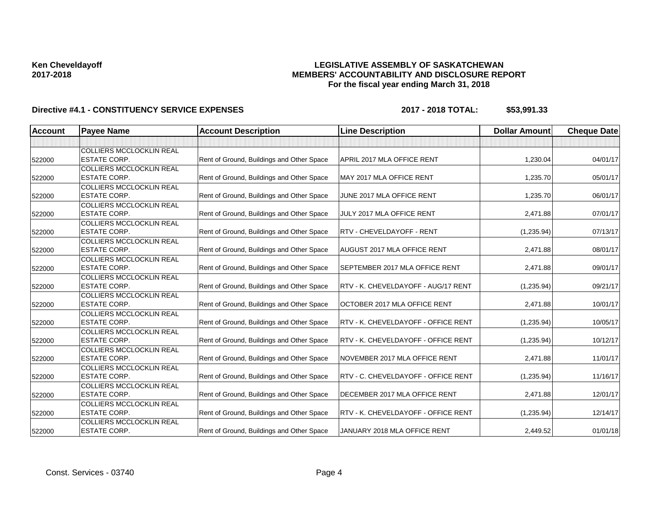## **LEGISLATIVE ASSEMBLY OF SASKATCHEWAN MEMBERS' ACCOUNTABILITY AND DISCLOSURE REPORT For the fiscal year ending March 31, 2018**

| <b>Account</b> | <b>Payee Name</b>               | <b>Account Description</b>                | <b>Line Description</b>             | <b>Dollar Amount</b> | <b>Cheque Date</b> |
|----------------|---------------------------------|-------------------------------------------|-------------------------------------|----------------------|--------------------|
|                |                                 |                                           |                                     |                      |                    |
|                | <b>COLLIERS MCCLOCKLIN REAL</b> |                                           |                                     |                      |                    |
| 522000         | <b>ESTATE CORP.</b>             | Rent of Ground, Buildings and Other Space | APRIL 2017 MLA OFFICE RENT          | 1,230.04             | 04/01/17           |
|                | <b>COLLIERS MCCLOCKLIN REAL</b> |                                           |                                     |                      |                    |
| 522000         | <b>ESTATE CORP.</b>             | Rent of Ground, Buildings and Other Space | MAY 2017 MLA OFFICE RENT            | 1,235.70             | 05/01/17           |
|                | <b>COLLIERS MCCLOCKLIN REAL</b> |                                           |                                     |                      |                    |
| 522000         | <b>ESTATE CORP.</b>             | Rent of Ground, Buildings and Other Space | JUNE 2017 MLA OFFICE RENT           | 1,235.70             | 06/01/17           |
|                | <b>COLLIERS MCCLOCKLIN REAL</b> |                                           |                                     |                      |                    |
| 522000         | <b>ESTATE CORP.</b>             | Rent of Ground, Buildings and Other Space | JULY 2017 MLA OFFICE RENT           | 2,471.88             | 07/01/17           |
|                | <b>COLLIERS MCCLOCKLIN REAL</b> |                                           |                                     |                      |                    |
| 522000         | IESTATE CORP.                   | Rent of Ground, Buildings and Other Space | <b>RTV - CHEVELDAYOFF - RENT</b>    | (1,235.94)           | 07/13/17           |
|                | <b>COLLIERS MCCLOCKLIN REAL</b> |                                           |                                     |                      |                    |
| 522000         | <b>ESTATE CORP.</b>             | Rent of Ground, Buildings and Other Space | AUGUST 2017 MLA OFFICE RENT         | 2,471.88             | 08/01/17           |
|                | <b>COLLIERS MCCLOCKLIN REAL</b> |                                           |                                     |                      |                    |
| 522000         | <b>ESTATE CORP.</b>             | Rent of Ground, Buildings and Other Space | SEPTEMBER 2017 MLA OFFICE RENT      | 2,471.88             | 09/01/17           |
|                | <b>COLLIERS MCCLOCKLIN REAL</b> |                                           |                                     |                      |                    |
| 522000         | <b>ESTATE CORP.</b>             | Rent of Ground, Buildings and Other Space | RTV - K. CHEVELDAYOFF - AUG/17 RENT | (1,235.94)           | 09/21/17           |
|                | <b>COLLIERS MCCLOCKLIN REAL</b> |                                           |                                     |                      |                    |
| 522000         | <b>ESTATE CORP.</b>             | Rent of Ground, Buildings and Other Space | OCTOBER 2017 MLA OFFICE RENT        | 2,471.88             | 10/01/17           |
|                | <b>COLLIERS MCCLOCKLIN REAL</b> |                                           |                                     |                      |                    |
| 522000         | <b>ESTATE CORP.</b>             | Rent of Ground, Buildings and Other Space | RTV - K. CHEVELDAYOFF - OFFICE RENT | (1,235.94)           | 10/05/17           |
|                | <b>COLLIERS MCCLOCKLIN REAL</b> |                                           |                                     |                      |                    |
| 522000         | IESTATE CORP.                   | Rent of Ground, Buildings and Other Space | RTV - K. CHEVELDAYOFF - OFFICE RENT | (1,235.94)           | 10/12/17           |
|                | <b>COLLIERS MCCLOCKLIN REAL</b> |                                           |                                     |                      |                    |
| 522000         | <b>ESTATE CORP.</b>             | Rent of Ground, Buildings and Other Space | NOVEMBER 2017 MLA OFFICE RENT       | 2,471.88             | 11/01/17           |
|                | <b>COLLIERS MCCLOCKLIN REAL</b> |                                           |                                     |                      |                    |
| 522000         | <b>ESTATE CORP.</b>             | Rent of Ground, Buildings and Other Space | RTV - C. CHEVELDAYOFF - OFFICE RENT | (1,235.94)           | 11/16/17           |
|                | <b>COLLIERS MCCLOCKLIN REAL</b> |                                           |                                     |                      |                    |
| 522000         | <b>ESTATE CORP.</b>             | Rent of Ground, Buildings and Other Space | DECEMBER 2017 MLA OFFICE RENT       | 2,471.88             | 12/01/17           |
|                | <b>COLLIERS MCCLOCKLIN REAL</b> |                                           |                                     |                      |                    |
| 522000         | <b>ESTATE CORP.</b>             | Rent of Ground, Buildings and Other Space | RTV - K. CHEVELDAYOFF - OFFICE RENT | (1,235.94)           | 12/14/17           |
|                | <b>COLLIERS MCCLOCKLIN REAL</b> |                                           |                                     |                      |                    |
| 522000         | IESTATE CORP.                   | Rent of Ground, Buildings and Other Space | JANUARY 2018 MLA OFFICE RENT        | 2,449.52             | 01/01/18           |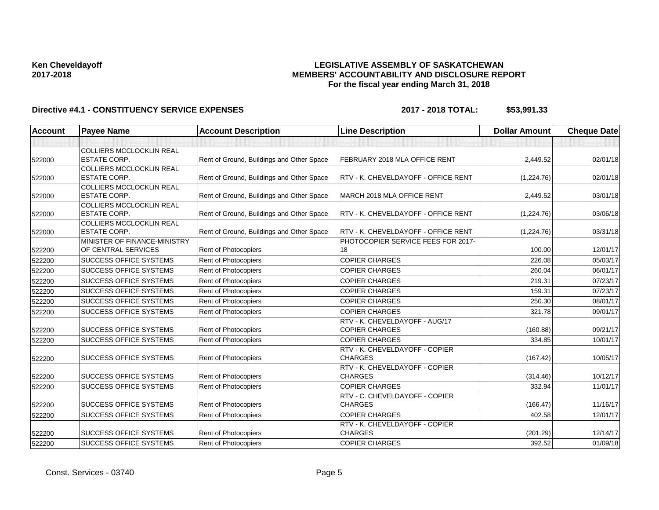## **LEGISLATIVE ASSEMBLY OF SASKATCHEWAN MEMBERS' ACCOUNTABILITY AND DISCLOSURE REPORT For the fiscal year ending March 31, 2018**

| <b>Account</b> | <b>Payee Name</b>               | <b>Account Description</b>                | <b>Line Description</b>                    | <b>Dollar Amount</b> | <b>Cheque Date</b> |
|----------------|---------------------------------|-------------------------------------------|--------------------------------------------|----------------------|--------------------|
|                |                                 |                                           |                                            |                      |                    |
|                | <b>COLLIERS MCCLOCKLIN REAL</b> |                                           |                                            |                      |                    |
| 522000         | <b>ESTATE CORP.</b>             | Rent of Ground, Buildings and Other Space | FEBRUARY 2018 MLA OFFICE RENT              | 2,449.52             | 02/01/18           |
|                | <b>COLLIERS MCCLOCKLIN REAL</b> |                                           |                                            |                      |                    |
| 522000         | <b>ESTATE CORP.</b>             | Rent of Ground, Buildings and Other Space | RTV - K. CHEVELDAYOFF - OFFICE RENT        | (1,224.76)           | 02/01/18           |
|                | <b>COLLIERS MCCLOCKLIN REAL</b> |                                           |                                            |                      |                    |
| 522000         | <b>ESTATE CORP.</b>             | Rent of Ground, Buildings and Other Space | MARCH 2018 MLA OFFICE RENT                 | 2,449.52             | 03/01/18           |
|                | <b>COLLIERS MCCLOCKLIN REAL</b> |                                           |                                            |                      |                    |
| 522000         | <b>ESTATE CORP.</b>             | Rent of Ground, Buildings and Other Space | <b>RTV - K. CHEVELDAYOFF - OFFICE RENT</b> | (1,224.76)           | 03/06/18           |
|                | <b>COLLIERS MCCLOCKLIN REAL</b> |                                           |                                            |                      |                    |
| 522000         | <b>ESTATE CORP.</b>             | Rent of Ground, Buildings and Other Space | RTV - K. CHEVELDAYOFF - OFFICE RENT        | (1,224.76)           | 03/31/18           |
|                | MINISTER OF FINANCE-MINISTRY    |                                           | PHOTOCOPIER SERVICE FEES FOR 2017-         |                      |                    |
| 522200         | OF CENTRAL SERVICES             | Rent of Photocopiers                      | 18                                         | 100.00               | 12/01/17           |
| 522200         | <b>SUCCESS OFFICE SYSTEMS</b>   | Rent of Photocopiers                      | <b>COPIER CHARGES</b>                      | 226.08               | 05/03/17           |
| 522200         | <b>SUCCESS OFFICE SYSTEMS</b>   | Rent of Photocopiers                      | <b>COPIER CHARGES</b>                      | 260.04               | 06/01/17           |
| 522200         | <b>SUCCESS OFFICE SYSTEMS</b>   | Rent of Photocopiers                      | <b>COPIER CHARGES</b>                      | 219.31               | 07/23/17           |
| 522200         | <b>SUCCESS OFFICE SYSTEMS</b>   | Rent of Photocopiers                      | <b>COPIER CHARGES</b>                      | 159.31               | 07/23/17           |
| 522200         | <b>SUCCESS OFFICE SYSTEMS</b>   | Rent of Photocopiers                      | <b>COPIER CHARGES</b>                      | 250.30               | 08/01/17           |
| 522200         | <b>SUCCESS OFFICE SYSTEMS</b>   | Rent of Photocopiers                      | <b>COPIER CHARGES</b>                      | 321.78               | 09/01/17           |
|                |                                 |                                           | RTV - K. CHEVELDAYOFF - AUG/17             |                      |                    |
| 522200         | <b>SUCCESS OFFICE SYSTEMS</b>   | Rent of Photocopiers                      | <b>COPIER CHARGES</b>                      | (160.88)             | 09/21/17           |
| 522200         | <b>SUCCESS OFFICE SYSTEMS</b>   | Rent of Photocopiers                      | <b>COPIER CHARGES</b>                      | 334.85               | 10/01/17           |
|                |                                 |                                           | RTV - K. CHEVELDAYOFF - COPIER             |                      |                    |
| 522200         | <b>SUCCESS OFFICE SYSTEMS</b>   | Rent of Photocopiers                      | <b>CHARGES</b>                             | (167.42)             | 10/05/17           |
|                |                                 |                                           | RTV - K. CHEVELDAYOFF - COPIER             |                      |                    |
| 522200         | <b>SUCCESS OFFICE SYSTEMS</b>   | Rent of Photocopiers                      | <b>CHARGES</b>                             | (314.46)             | 10/12/17           |
| 522200         | <b>SUCCESS OFFICE SYSTEMS</b>   | Rent of Photocopiers                      | <b>COPIER CHARGES</b>                      | 332.94               | 11/01/17           |
|                |                                 |                                           | RTV - C. CHEVELDAYOFF - COPIER             |                      |                    |
| 522200         | <b>SUCCESS OFFICE SYSTEMS</b>   | Rent of Photocopiers                      | <b>CHARGES</b>                             | (166.47)             | 11/16/17           |
| 522200         | <b>SUCCESS OFFICE SYSTEMS</b>   | Rent of Photocopiers                      | <b>COPIER CHARGES</b>                      | 402.58               | 12/01/17           |
|                |                                 |                                           | RTV - K. CHEVELDAYOFF - COPIER             |                      |                    |
| 522200         | <b>SUCCESS OFFICE SYSTEMS</b>   | Rent of Photocopiers                      | <b>CHARGES</b>                             | (201.29)             | 12/14/17           |
| 522200         | <b>SUCCESS OFFICE SYSTEMS</b>   | Rent of Photocopiers                      | <b>COPIER CHARGES</b>                      | 392.52               | 01/09/18           |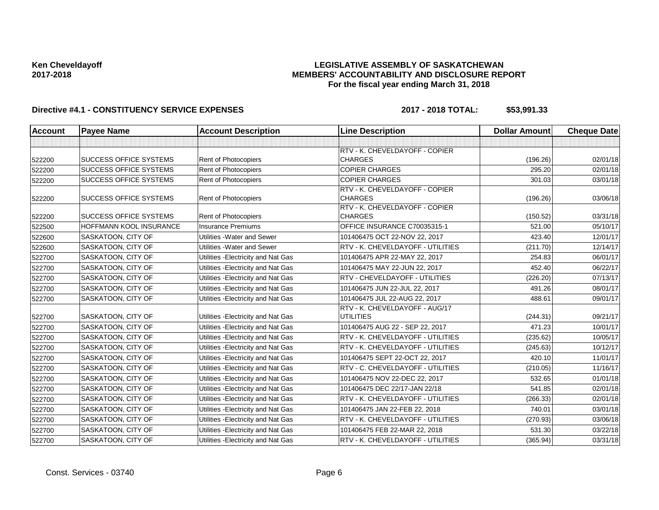## **LEGISLATIVE ASSEMBLY OF SASKATCHEWAN MEMBERS' ACCOUNTABILITY AND DISCLOSURE REPORT For the fiscal year ending March 31, 2018**

| <b>Account</b> | <b>Payee Name</b>              | <b>Account Description</b>          | <b>Line Description</b>                            | <b>Dollar Amount</b> | <b>Cheque Date</b> |
|----------------|--------------------------------|-------------------------------------|----------------------------------------------------|----------------------|--------------------|
|                |                                |                                     |                                                    |                      |                    |
|                |                                |                                     | RTV - K. CHEVELDAYOFF - COPIER                     |                      |                    |
| 522200         | <b>SUCCESS OFFICE SYSTEMS</b>  | <b>Rent of Photocopiers</b>         | <b>CHARGES</b>                                     | (196.26)             | 02/01/18           |
| 522200         | <b>SUCCESS OFFICE SYSTEMS</b>  | Rent of Photocopiers                | <b>COPIER CHARGES</b>                              | 295.20               | 02/01/18           |
| 522200         | <b>SUCCESS OFFICE SYSTEMS</b>  | Rent of Photocopiers                | <b>COPIER CHARGES</b>                              | 301.03               | 03/01/18           |
| 522200         | <b>SUCCESS OFFICE SYSTEMS</b>  | <b>Rent of Photocopiers</b>         | RTV - K. CHEVELDAYOFF - COPIER<br><b>CHARGES</b>   | (196.26)             | 03/06/18           |
| 522200         | <b>SUCCESS OFFICE SYSTEMS</b>  | <b>Rent of Photocopiers</b>         | RTV - K. CHEVELDAYOFF - COPIER<br><b>CHARGES</b>   | (150.52)             | 03/31/18           |
| 522500         | <b>HOFFMANN KOOL INSURANCE</b> | <b>Insurance Premiums</b>           | OFFICE INSURANCE C70035315-1                       | 521.00               | 05/10/17           |
| 522600         | SASKATOON, CITY OF             | Utilities - Water and Sewer         | 101406475 OCT 22-NOV 22, 2017                      | 423.40               | 12/01/17           |
| 522600         | SASKATOON, CITY OF             | Utilities - Water and Sewer         | RTV - K. CHEVELDAYOFF - UTILITIES                  | (211.70)             | 12/14/17           |
| 522700         | SASKATOON, CITY OF             | Utilities - Electricity and Nat Gas | 101406475 APR 22-MAY 22, 2017                      | 254.83               | 06/01/17           |
| 522700         | SASKATOON, CITY OF             | Utilities - Electricity and Nat Gas | 101406475 MAY 22-JUN 22, 2017                      | 452.40               | 06/22/17           |
| 522700         | SASKATOON, CITY OF             | Utilities - Electricity and Nat Gas | RTV - CHEVELDAYOFF - UTILITIES                     | (226.20)             | 07/13/17           |
| 522700         | SASKATOON, CITY OF             | Utilities - Electricity and Nat Gas | 101406475 JUN 22-JUL 22, 2017                      | 491.26               | 08/01/17           |
| 522700         | SASKATOON, CITY OF             | Utilities - Electricity and Nat Gas | 101406475 JUL 22-AUG 22, 2017                      | 488.61               | 09/01/17           |
| 522700         | SASKATOON, CITY OF             | Utilities - Electricity and Nat Gas | RTV - K. CHEVELDAYOFF - AUG/17<br><b>UTILITIES</b> | (244.31)             | 09/21/17           |
| 522700         | SASKATOON, CITY OF             | Utilities - Electricity and Nat Gas | 101406475 AUG 22 - SEP 22, 2017                    | 471.23               | 10/01/17           |
| 522700         | SASKATOON, CITY OF             | Utilities - Electricity and Nat Gas | RTV - K. CHEVELDAYOFF - UTILITIES                  | (235.62)             | 10/05/17           |
| 522700         | SASKATOON, CITY OF             | Utilities - Electricity and Nat Gas | RTV - K. CHEVELDAYOFF - UTILITIES                  | (245.63)             | 10/12/17           |
| 522700         | SASKATOON, CITY OF             | Utilities - Electricity and Nat Gas | 101406475 SEPT 22-OCT 22, 2017                     | 420.10               | 11/01/17           |
| 522700         | SASKATOON, CITY OF             | Utilities - Electricity and Nat Gas | RTV - C. CHEVELDAYOFF - UTILITIES                  | (210.05)             | 11/16/17           |
| 522700         | SASKATOON, CITY OF             | Utilities - Electricity and Nat Gas | 101406475 NOV 22-DEC 22, 2017                      | 532.65               | 01/01/18           |
| 522700         | SASKATOON, CITY OF             | Utilities - Electricity and Nat Gas | 101406475 DEC 22/17-JAN 22/18                      | 541.85               | 02/01/18           |
| 522700         | SASKATOON, CITY OF             | Utilities - Electricity and Nat Gas | RTV - K. CHEVELDAYOFF - UTILITIES                  | (266.33)             | 02/01/18           |
| 522700         | SASKATOON, CITY OF             | Utilities - Electricity and Nat Gas | 101406475 JAN 22-FEB 22, 2018                      | 740.01               | 03/01/18           |
| 522700         | SASKATOON, CITY OF             | Utilities - Electricity and Nat Gas | RTV - K. CHEVELDAYOFF - UTILITIES                  | (270.93)             | 03/06/18           |
| 522700         | SASKATOON, CITY OF             | Utilities - Electricity and Nat Gas | 101406475 FEB 22-MAR 22, 2018                      | 531.30               | 03/22/18           |
| 522700         | SASKATOON, CITY OF             | Utilities - Electricity and Nat Gas | RTV - K. CHEVELDAYOFF - UTILITIES                  | (365.94)             | 03/31/18           |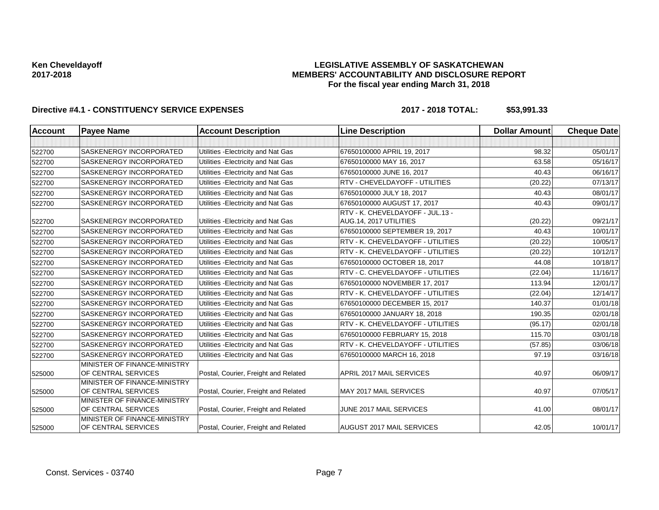## **LEGISLATIVE ASSEMBLY OF SASKATCHEWAN MEMBERS' ACCOUNTABILITY AND DISCLOSURE REPORT For the fiscal year ending March 31, 2018**

| SASKENERGY INCORPORATED<br>67650100000 APRIL 19, 2017<br>98.32<br>522700<br>Utilities - Electricity and Nat Gas<br><b>SASKENERGY INCORPORATED</b><br>Utilities - Electricity and Nat Gas<br>67650100000 MAY 16, 2017<br>63.58<br>522700<br>SASKENERGY INCORPORATED<br>Utilities - Electricity and Nat Gas<br>40.43<br>67650100000 JUNE 16, 2017<br>522700<br><b>SASKENERGY INCORPORATED</b><br>Utilities - Electricity and Nat Gas<br>RTV - CHEVELDAYOFF - UTILITIES<br>(20.22)<br>522700<br>Utilities - Electricity and Nat Gas<br>SASKENERGY INCORPORATED<br>67650100000 JULY 18, 2017<br>40.43<br>522700<br>Utilities - Electricity and Nat Gas<br>67650100000 AUGUST 17, 2017<br>SASKENERGY INCORPORATED<br>522700<br>40.43<br>RTV - K. CHEVELDAYOFF - JUL.13 -<br><b>SASKENERGY INCORPORATED</b><br>Utilities - Electricity and Nat Gas<br>AUG.14, 2017 UTILITIES<br>(20.22)<br>522700<br>SASKENERGY INCORPORATED<br>Utilities - Electricity and Nat Gas<br>67650100000 SEPTEMBER 19, 2017<br>40.43<br>522700<br>RTV - K. CHEVELDAYOFF - UTILITIES<br><b>SASKENERGY INCORPORATED</b><br>Utilities - Electricity and Nat Gas<br>(20.22)<br>522700<br>Utilities - Electricity and Nat Gas<br>RTV - K. CHEVELDAYOFF - UTILITIES<br>SASKENERGY INCORPORATED<br>(20.22)<br>522700<br>SASKENERGY INCORPORATED<br>Utilities - Electricity and Nat Gas<br>67650100000 OCTOBER 18, 2017<br>44.08<br>522700<br>RTV - C. CHEVELDAYOFF - UTILITIES<br>SASKENERGY INCORPORATED<br>Utilities - Electricity and Nat Gas<br>(22.04)<br>522700<br><b>SASKENERGY INCORPORATED</b><br>Utilities - Electricity and Nat Gas<br>67650100000 NOVEMBER 17, 2017<br>113.94<br>522700<br>Utilities - Electricity and Nat Gas<br>RTV - K. CHEVELDAYOFF - UTILITIES<br>SASKENERGY INCORPORATED<br>(22.04)<br>522700<br>Utilities - Electricity and Nat Gas<br>140.37<br><b>SASKENERGY INCORPORATED</b><br>67650100000 DECEMBER 15, 2017<br>522700<br>190.35<br>SASKENERGY INCORPORATED<br>Utilities - Electricity and Nat Gas<br>67650100000 JANUARY 18, 2018<br>522700<br>Utilities - Electricity and Nat Gas<br><b>SASKENERGY INCORPORATED</b><br>RTV - K. CHEVELDAYOFF - UTILITIES<br>(95.17)<br>522700<br>SASKENERGY INCORPORATED<br>Utilities - Electricity and Nat Gas<br>67650100000 FEBRUARY 15, 2018<br>115.70<br>522700<br>Utilities - Electricity and Nat Gas<br>RTV - K. CHEVELDAYOFF - UTILITIES<br><b>SASKENERGY INCORPORATED</b><br>(57.85)<br>522700<br>SASKENERGY INCORPORATED<br>Utilities - Electricity and Nat Gas<br>97.19<br>67650100000 MARCH 16, 2018<br>522700<br>MINISTER OF FINANCE-MINISTRY<br>OF CENTRAL SERVICES<br>Postal, Courier, Freight and Related<br>APRIL 2017 MAIL SERVICES<br>40.97<br>525000<br>MINISTER OF FINANCE-MINISTRY<br>OF CENTRAL SERVICES<br>Postal, Courier, Freight and Related<br>MAY 2017 MAIL SERVICES<br>40.97<br>07/05/17<br>525000<br>MINISTER OF FINANCE-MINISTRY<br>OF CENTRAL SERVICES<br>Postal, Courier, Freight and Related<br>JUNE 2017 MAIL SERVICES<br>08/01/17<br>41.00<br>525000 | Account | <b>Payee Name</b> | <b>Account Description</b> | <b>Line Description</b> | <b>Dollar Amount</b> | <b>Cheque Date</b> |
|---------------------------------------------------------------------------------------------------------------------------------------------------------------------------------------------------------------------------------------------------------------------------------------------------------------------------------------------------------------------------------------------------------------------------------------------------------------------------------------------------------------------------------------------------------------------------------------------------------------------------------------------------------------------------------------------------------------------------------------------------------------------------------------------------------------------------------------------------------------------------------------------------------------------------------------------------------------------------------------------------------------------------------------------------------------------------------------------------------------------------------------------------------------------------------------------------------------------------------------------------------------------------------------------------------------------------------------------------------------------------------------------------------------------------------------------------------------------------------------------------------------------------------------------------------------------------------------------------------------------------------------------------------------------------------------------------------------------------------------------------------------------------------------------------------------------------------------------------------------------------------------------------------------------------------------------------------------------------------------------------------------------------------------------------------------------------------------------------------------------------------------------------------------------------------------------------------------------------------------------------------------------------------------------------------------------------------------------------------------------------------------------------------------------------------------------------------------------------------------------------------------------------------------------------------------------------------------------------------------------------------------------------------------------------------------------------------------------------------------------------------------------------------------------------------------------------------------------------------------------------------------------------------------------------------------------------------------------------------------------------------------------------------|---------|-------------------|----------------------------|-------------------------|----------------------|--------------------|
|                                                                                                                                                                                                                                                                                                                                                                                                                                                                                                                                                                                                                                                                                                                                                                                                                                                                                                                                                                                                                                                                                                                                                                                                                                                                                                                                                                                                                                                                                                                                                                                                                                                                                                                                                                                                                                                                                                                                                                                                                                                                                                                                                                                                                                                                                                                                                                                                                                                                                                                                                                                                                                                                                                                                                                                                                                                                                                                                                                                                                                 |         |                   |                            |                         |                      |                    |
|                                                                                                                                                                                                                                                                                                                                                                                                                                                                                                                                                                                                                                                                                                                                                                                                                                                                                                                                                                                                                                                                                                                                                                                                                                                                                                                                                                                                                                                                                                                                                                                                                                                                                                                                                                                                                                                                                                                                                                                                                                                                                                                                                                                                                                                                                                                                                                                                                                                                                                                                                                                                                                                                                                                                                                                                                                                                                                                                                                                                                                 |         |                   |                            |                         |                      | 05/01/17           |
|                                                                                                                                                                                                                                                                                                                                                                                                                                                                                                                                                                                                                                                                                                                                                                                                                                                                                                                                                                                                                                                                                                                                                                                                                                                                                                                                                                                                                                                                                                                                                                                                                                                                                                                                                                                                                                                                                                                                                                                                                                                                                                                                                                                                                                                                                                                                                                                                                                                                                                                                                                                                                                                                                                                                                                                                                                                                                                                                                                                                                                 |         |                   |                            |                         |                      | 05/16/17           |
|                                                                                                                                                                                                                                                                                                                                                                                                                                                                                                                                                                                                                                                                                                                                                                                                                                                                                                                                                                                                                                                                                                                                                                                                                                                                                                                                                                                                                                                                                                                                                                                                                                                                                                                                                                                                                                                                                                                                                                                                                                                                                                                                                                                                                                                                                                                                                                                                                                                                                                                                                                                                                                                                                                                                                                                                                                                                                                                                                                                                                                 |         |                   |                            |                         |                      | 06/16/17           |
|                                                                                                                                                                                                                                                                                                                                                                                                                                                                                                                                                                                                                                                                                                                                                                                                                                                                                                                                                                                                                                                                                                                                                                                                                                                                                                                                                                                                                                                                                                                                                                                                                                                                                                                                                                                                                                                                                                                                                                                                                                                                                                                                                                                                                                                                                                                                                                                                                                                                                                                                                                                                                                                                                                                                                                                                                                                                                                                                                                                                                                 |         |                   |                            |                         |                      | 07/13/17           |
|                                                                                                                                                                                                                                                                                                                                                                                                                                                                                                                                                                                                                                                                                                                                                                                                                                                                                                                                                                                                                                                                                                                                                                                                                                                                                                                                                                                                                                                                                                                                                                                                                                                                                                                                                                                                                                                                                                                                                                                                                                                                                                                                                                                                                                                                                                                                                                                                                                                                                                                                                                                                                                                                                                                                                                                                                                                                                                                                                                                                                                 |         |                   |                            |                         |                      | 08/01/17           |
|                                                                                                                                                                                                                                                                                                                                                                                                                                                                                                                                                                                                                                                                                                                                                                                                                                                                                                                                                                                                                                                                                                                                                                                                                                                                                                                                                                                                                                                                                                                                                                                                                                                                                                                                                                                                                                                                                                                                                                                                                                                                                                                                                                                                                                                                                                                                                                                                                                                                                                                                                                                                                                                                                                                                                                                                                                                                                                                                                                                                                                 |         |                   |                            |                         |                      | 09/01/17           |
|                                                                                                                                                                                                                                                                                                                                                                                                                                                                                                                                                                                                                                                                                                                                                                                                                                                                                                                                                                                                                                                                                                                                                                                                                                                                                                                                                                                                                                                                                                                                                                                                                                                                                                                                                                                                                                                                                                                                                                                                                                                                                                                                                                                                                                                                                                                                                                                                                                                                                                                                                                                                                                                                                                                                                                                                                                                                                                                                                                                                                                 |         |                   |                            |                         |                      |                    |
|                                                                                                                                                                                                                                                                                                                                                                                                                                                                                                                                                                                                                                                                                                                                                                                                                                                                                                                                                                                                                                                                                                                                                                                                                                                                                                                                                                                                                                                                                                                                                                                                                                                                                                                                                                                                                                                                                                                                                                                                                                                                                                                                                                                                                                                                                                                                                                                                                                                                                                                                                                                                                                                                                                                                                                                                                                                                                                                                                                                                                                 |         |                   |                            |                         |                      | 09/21/17           |
|                                                                                                                                                                                                                                                                                                                                                                                                                                                                                                                                                                                                                                                                                                                                                                                                                                                                                                                                                                                                                                                                                                                                                                                                                                                                                                                                                                                                                                                                                                                                                                                                                                                                                                                                                                                                                                                                                                                                                                                                                                                                                                                                                                                                                                                                                                                                                                                                                                                                                                                                                                                                                                                                                                                                                                                                                                                                                                                                                                                                                                 |         |                   |                            |                         |                      | 10/01/17           |
|                                                                                                                                                                                                                                                                                                                                                                                                                                                                                                                                                                                                                                                                                                                                                                                                                                                                                                                                                                                                                                                                                                                                                                                                                                                                                                                                                                                                                                                                                                                                                                                                                                                                                                                                                                                                                                                                                                                                                                                                                                                                                                                                                                                                                                                                                                                                                                                                                                                                                                                                                                                                                                                                                                                                                                                                                                                                                                                                                                                                                                 |         |                   |                            |                         |                      | 10/05/17           |
|                                                                                                                                                                                                                                                                                                                                                                                                                                                                                                                                                                                                                                                                                                                                                                                                                                                                                                                                                                                                                                                                                                                                                                                                                                                                                                                                                                                                                                                                                                                                                                                                                                                                                                                                                                                                                                                                                                                                                                                                                                                                                                                                                                                                                                                                                                                                                                                                                                                                                                                                                                                                                                                                                                                                                                                                                                                                                                                                                                                                                                 |         |                   |                            |                         |                      | 10/12/17           |
|                                                                                                                                                                                                                                                                                                                                                                                                                                                                                                                                                                                                                                                                                                                                                                                                                                                                                                                                                                                                                                                                                                                                                                                                                                                                                                                                                                                                                                                                                                                                                                                                                                                                                                                                                                                                                                                                                                                                                                                                                                                                                                                                                                                                                                                                                                                                                                                                                                                                                                                                                                                                                                                                                                                                                                                                                                                                                                                                                                                                                                 |         |                   |                            |                         |                      | 10/18/17           |
|                                                                                                                                                                                                                                                                                                                                                                                                                                                                                                                                                                                                                                                                                                                                                                                                                                                                                                                                                                                                                                                                                                                                                                                                                                                                                                                                                                                                                                                                                                                                                                                                                                                                                                                                                                                                                                                                                                                                                                                                                                                                                                                                                                                                                                                                                                                                                                                                                                                                                                                                                                                                                                                                                                                                                                                                                                                                                                                                                                                                                                 |         |                   |                            |                         |                      | 11/16/17           |
|                                                                                                                                                                                                                                                                                                                                                                                                                                                                                                                                                                                                                                                                                                                                                                                                                                                                                                                                                                                                                                                                                                                                                                                                                                                                                                                                                                                                                                                                                                                                                                                                                                                                                                                                                                                                                                                                                                                                                                                                                                                                                                                                                                                                                                                                                                                                                                                                                                                                                                                                                                                                                                                                                                                                                                                                                                                                                                                                                                                                                                 |         |                   |                            |                         |                      | 12/01/17           |
|                                                                                                                                                                                                                                                                                                                                                                                                                                                                                                                                                                                                                                                                                                                                                                                                                                                                                                                                                                                                                                                                                                                                                                                                                                                                                                                                                                                                                                                                                                                                                                                                                                                                                                                                                                                                                                                                                                                                                                                                                                                                                                                                                                                                                                                                                                                                                                                                                                                                                                                                                                                                                                                                                                                                                                                                                                                                                                                                                                                                                                 |         |                   |                            |                         |                      | 12/14/17           |
|                                                                                                                                                                                                                                                                                                                                                                                                                                                                                                                                                                                                                                                                                                                                                                                                                                                                                                                                                                                                                                                                                                                                                                                                                                                                                                                                                                                                                                                                                                                                                                                                                                                                                                                                                                                                                                                                                                                                                                                                                                                                                                                                                                                                                                                                                                                                                                                                                                                                                                                                                                                                                                                                                                                                                                                                                                                                                                                                                                                                                                 |         |                   |                            |                         |                      | 01/01/18           |
|                                                                                                                                                                                                                                                                                                                                                                                                                                                                                                                                                                                                                                                                                                                                                                                                                                                                                                                                                                                                                                                                                                                                                                                                                                                                                                                                                                                                                                                                                                                                                                                                                                                                                                                                                                                                                                                                                                                                                                                                                                                                                                                                                                                                                                                                                                                                                                                                                                                                                                                                                                                                                                                                                                                                                                                                                                                                                                                                                                                                                                 |         |                   |                            |                         |                      | 02/01/18           |
|                                                                                                                                                                                                                                                                                                                                                                                                                                                                                                                                                                                                                                                                                                                                                                                                                                                                                                                                                                                                                                                                                                                                                                                                                                                                                                                                                                                                                                                                                                                                                                                                                                                                                                                                                                                                                                                                                                                                                                                                                                                                                                                                                                                                                                                                                                                                                                                                                                                                                                                                                                                                                                                                                                                                                                                                                                                                                                                                                                                                                                 |         |                   |                            |                         |                      | 02/01/18           |
|                                                                                                                                                                                                                                                                                                                                                                                                                                                                                                                                                                                                                                                                                                                                                                                                                                                                                                                                                                                                                                                                                                                                                                                                                                                                                                                                                                                                                                                                                                                                                                                                                                                                                                                                                                                                                                                                                                                                                                                                                                                                                                                                                                                                                                                                                                                                                                                                                                                                                                                                                                                                                                                                                                                                                                                                                                                                                                                                                                                                                                 |         |                   |                            |                         |                      | 03/01/18           |
|                                                                                                                                                                                                                                                                                                                                                                                                                                                                                                                                                                                                                                                                                                                                                                                                                                                                                                                                                                                                                                                                                                                                                                                                                                                                                                                                                                                                                                                                                                                                                                                                                                                                                                                                                                                                                                                                                                                                                                                                                                                                                                                                                                                                                                                                                                                                                                                                                                                                                                                                                                                                                                                                                                                                                                                                                                                                                                                                                                                                                                 |         |                   |                            |                         |                      | 03/06/18           |
|                                                                                                                                                                                                                                                                                                                                                                                                                                                                                                                                                                                                                                                                                                                                                                                                                                                                                                                                                                                                                                                                                                                                                                                                                                                                                                                                                                                                                                                                                                                                                                                                                                                                                                                                                                                                                                                                                                                                                                                                                                                                                                                                                                                                                                                                                                                                                                                                                                                                                                                                                                                                                                                                                                                                                                                                                                                                                                                                                                                                                                 |         |                   |                            |                         |                      | 03/16/18           |
|                                                                                                                                                                                                                                                                                                                                                                                                                                                                                                                                                                                                                                                                                                                                                                                                                                                                                                                                                                                                                                                                                                                                                                                                                                                                                                                                                                                                                                                                                                                                                                                                                                                                                                                                                                                                                                                                                                                                                                                                                                                                                                                                                                                                                                                                                                                                                                                                                                                                                                                                                                                                                                                                                                                                                                                                                                                                                                                                                                                                                                 |         |                   |                            |                         |                      |                    |
|                                                                                                                                                                                                                                                                                                                                                                                                                                                                                                                                                                                                                                                                                                                                                                                                                                                                                                                                                                                                                                                                                                                                                                                                                                                                                                                                                                                                                                                                                                                                                                                                                                                                                                                                                                                                                                                                                                                                                                                                                                                                                                                                                                                                                                                                                                                                                                                                                                                                                                                                                                                                                                                                                                                                                                                                                                                                                                                                                                                                                                 |         |                   |                            |                         |                      | 06/09/17           |
|                                                                                                                                                                                                                                                                                                                                                                                                                                                                                                                                                                                                                                                                                                                                                                                                                                                                                                                                                                                                                                                                                                                                                                                                                                                                                                                                                                                                                                                                                                                                                                                                                                                                                                                                                                                                                                                                                                                                                                                                                                                                                                                                                                                                                                                                                                                                                                                                                                                                                                                                                                                                                                                                                                                                                                                                                                                                                                                                                                                                                                 |         |                   |                            |                         |                      |                    |
|                                                                                                                                                                                                                                                                                                                                                                                                                                                                                                                                                                                                                                                                                                                                                                                                                                                                                                                                                                                                                                                                                                                                                                                                                                                                                                                                                                                                                                                                                                                                                                                                                                                                                                                                                                                                                                                                                                                                                                                                                                                                                                                                                                                                                                                                                                                                                                                                                                                                                                                                                                                                                                                                                                                                                                                                                                                                                                                                                                                                                                 |         |                   |                            |                         |                      |                    |
|                                                                                                                                                                                                                                                                                                                                                                                                                                                                                                                                                                                                                                                                                                                                                                                                                                                                                                                                                                                                                                                                                                                                                                                                                                                                                                                                                                                                                                                                                                                                                                                                                                                                                                                                                                                                                                                                                                                                                                                                                                                                                                                                                                                                                                                                                                                                                                                                                                                                                                                                                                                                                                                                                                                                                                                                                                                                                                                                                                                                                                 |         |                   |                            |                         |                      |                    |
|                                                                                                                                                                                                                                                                                                                                                                                                                                                                                                                                                                                                                                                                                                                                                                                                                                                                                                                                                                                                                                                                                                                                                                                                                                                                                                                                                                                                                                                                                                                                                                                                                                                                                                                                                                                                                                                                                                                                                                                                                                                                                                                                                                                                                                                                                                                                                                                                                                                                                                                                                                                                                                                                                                                                                                                                                                                                                                                                                                                                                                 |         |                   |                            |                         |                      |                    |
| MINISTER OF FINANCE-MINISTRY<br>OF CENTRAL SERVICES<br>Postal, Courier, Freight and Related<br><b>AUGUST 2017 MAIL SERVICES</b><br>42.05<br>525000                                                                                                                                                                                                                                                                                                                                                                                                                                                                                                                                                                                                                                                                                                                                                                                                                                                                                                                                                                                                                                                                                                                                                                                                                                                                                                                                                                                                                                                                                                                                                                                                                                                                                                                                                                                                                                                                                                                                                                                                                                                                                                                                                                                                                                                                                                                                                                                                                                                                                                                                                                                                                                                                                                                                                                                                                                                                              |         |                   |                            |                         |                      | 10/01/17           |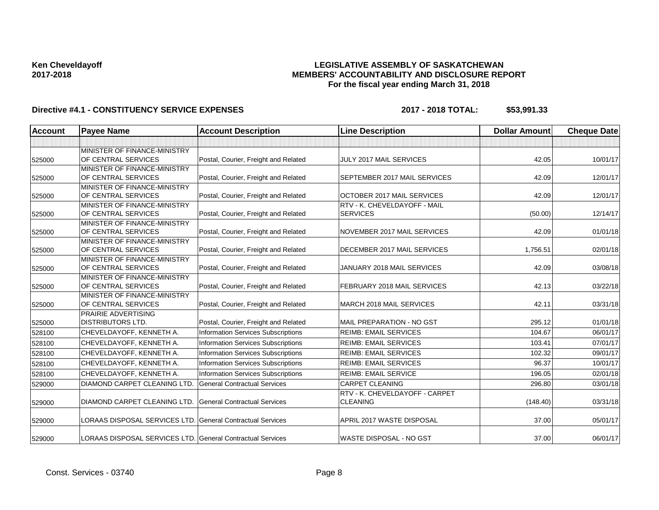## **LEGISLATIVE ASSEMBLY OF SASKATCHEWAN MEMBERS' ACCOUNTABILITY AND DISCLOSURE REPORT For the fiscal year ending March 31, 2018**

| <b>Account</b> | <b>Payee Name</b>                                          | <b>Account Description</b>                | <b>Line Description</b>        | <b>Dollar Amount</b> | <b>Cheque Date</b> |
|----------------|------------------------------------------------------------|-------------------------------------------|--------------------------------|----------------------|--------------------|
|                |                                                            |                                           |                                |                      |                    |
| 525000         | MINISTER OF FINANCE-MINISTRY<br>OF CENTRAL SERVICES        | Postal, Courier, Freight and Related      | JULY 2017 MAIL SERVICES        | 42.05                | 10/01/17           |
|                | MINISTER OF FINANCE-MINISTRY                               |                                           |                                |                      |                    |
| 525000         | OF CENTRAL SERVICES                                        | Postal, Courier, Freight and Related      | SEPTEMBER 2017 MAIL SERVICES   | 42.09                | 12/01/17           |
|                | MINISTER OF FINANCE-MINISTRY                               |                                           |                                |                      |                    |
| 525000         | OF CENTRAL SERVICES                                        | Postal, Courier, Freight and Related      | OCTOBER 2017 MAIL SERVICES     | 42.09                | 12/01/17           |
|                | MINISTER OF FINANCE-MINISTRY                               |                                           | RTV - K. CHEVELDAYOFF - MAIL   |                      |                    |
| 525000         | OF CENTRAL SERVICES                                        | Postal, Courier, Freight and Related      | <b>SERVICES</b>                | (50.00)              | 12/14/17           |
|                | MINISTER OF FINANCE-MINISTRY                               |                                           |                                |                      |                    |
| 525000         | OF CENTRAL SERVICES                                        | Postal, Courier, Freight and Related      | NOVEMBER 2017 MAIL SERVICES    | 42.09                | 01/01/18           |
| 525000         | MINISTER OF FINANCE-MINISTRY<br>OF CENTRAL SERVICES        | Postal, Courier, Freight and Related      | DECEMBER 2017 MAIL SERVICES    | 1,756.51             | 02/01/18           |
|                | MINISTER OF FINANCE-MINISTRY                               |                                           |                                |                      |                    |
| 525000         | OF CENTRAL SERVICES                                        | Postal, Courier, Freight and Related      | JANUARY 2018 MAIL SERVICES     | 42.09                | 03/08/18           |
|                | MINISTER OF FINANCE-MINISTRY                               |                                           |                                |                      |                    |
| 525000         | OF CENTRAL SERVICES                                        | Postal, Courier, Freight and Related      | FEBRUARY 2018 MAIL SERVICES    | 42.13                | 03/22/18           |
|                | MINISTER OF FINANCE-MINISTRY                               |                                           |                                |                      |                    |
| 525000         | <b>OF CENTRAL SERVICES</b>                                 | Postal, Courier, Freight and Related      | MARCH 2018 MAIL SERVICES       | 42.11                | 03/31/18           |
|                | <b>PRAIRIE ADVERTISING</b>                                 |                                           |                                |                      |                    |
| 525000         | <b>DISTRIBUTORS LTD.</b>                                   | Postal, Courier, Freight and Related      | MAIL PREPARATION - NO GST      | 295.12               | 01/01/18           |
| 528100         | CHEVELDAYOFF, KENNETH A.                                   | <b>Information Services Subscriptions</b> | <b>REIMB: EMAIL SERVICES</b>   | 104.67               | 06/01/17           |
| 528100         | CHEVELDAYOFF, KENNETH A.                                   | <b>Information Services Subscriptions</b> | <b>REIMB: EMAIL SERVICES</b>   | 103.41               | 07/01/17           |
| 528100         | CHEVELDAYOFF, KENNETH A.                                   | Information Services Subscriptions        | <b>REIMB: EMAIL SERVICES</b>   | 102.32               | 09/01/17           |
| 528100         | CHEVELDAYOFF, KENNETH A.                                   | <b>Information Services Subscriptions</b> | <b>REIMB: EMAIL SERVICES</b>   | 96.37                | 10/01/17           |
| 528100         | CHEVELDAYOFF, KENNETH A.                                   | <b>Information Services Subscriptions</b> | <b>REIMB: EMAIL SERVICE</b>    | 196.05               | 02/01/18           |
| 529000         | DIAMOND CARPET CLEANING LTD.                               | <b>General Contractual Services</b>       | <b>CARPET CLEANING</b>         | 296.80               | 03/01/18           |
|                |                                                            |                                           | RTV - K. CHEVELDAYOFF - CARPET |                      |                    |
| 529000         | DIAMOND CARPET CLEANING LTD.                               | <b>General Contractual Services</b>       | <b>CLEANING</b>                | (148.40)             | 03/31/18           |
| 529000         | LORAAS DISPOSAL SERVICES LTD. General Contractual Services |                                           | APRIL 2017 WASTE DISPOSAL      | 37.00                | 05/01/17           |
| 529000         | LORAAS DISPOSAL SERVICES LTD. General Contractual Services |                                           | <b>WASTE DISPOSAL - NO GST</b> | 37.00                | 06/01/17           |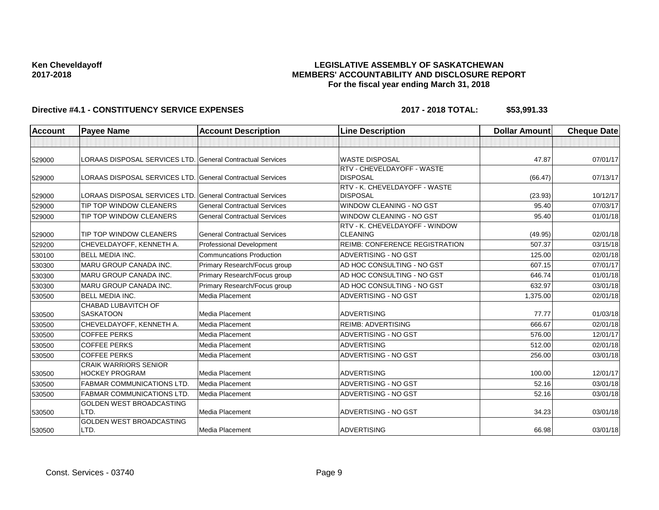## **LEGISLATIVE ASSEMBLY OF SASKATCHEWAN MEMBERS' ACCOUNTABILITY AND DISCLOSURE REPORT For the fiscal year ending March 31, 2018**

| <b>Account</b> | <b>Payee Name</b>                                          | <b>Account Description</b>          | <b>Line Description</b>                           | <b>Dollar Amount</b> | <b>Cheque Date</b> |
|----------------|------------------------------------------------------------|-------------------------------------|---------------------------------------------------|----------------------|--------------------|
|                |                                                            |                                     |                                                   |                      |                    |
| 529000         | LORAAS DISPOSAL SERVICES LTD. General Contractual Services |                                     | <b>WASTE DISPOSAL</b>                             | 47.87                | 07/01/17           |
| 529000         | LORAAS DISPOSAL SERVICES LTD. General Contractual Services |                                     | RTV - CHEVELDAYOFF - WASTE<br><b>DISPOSAL</b>     | (66.47)              | 07/13/17           |
| 529000         | LORAAS DISPOSAL SERVICES LTD. General Contractual Services |                                     | RTV - K. CHEVELDAYOFF - WASTE<br><b>DISPOSAL</b>  | (23.93)              | 10/12/17           |
| 529000         | <b>TIP TOP WINDOW CLEANERS</b>                             | <b>General Contractual Services</b> | WINDOW CLEANING - NO GST                          | 95.40                | 07/03/17           |
| 529000         | TIP TOP WINDOW CLEANERS                                    | <b>General Contractual Services</b> | <b>WINDOW CLEANING - NO GST</b>                   | 95.40                | 01/01/18           |
| 529000         | TIP TOP WINDOW CLEANERS                                    | <b>General Contractual Services</b> | RTV - K. CHEVELDAYOFF - WINDOW<br><b>CLEANING</b> | (49.95)              | 02/01/18           |
| 529200         | CHEVELDAYOFF, KENNETH A.                                   | <b>Professional Development</b>     | REIMB: CONFERENCE REGISTRATION                    | 507.37               | 03/15/18           |
| 530100         | <b>BELL MEDIA INC.</b>                                     | <b>Communcations Production</b>     | ADVERTISING - NO GST                              | 125.00               | 02/01/18           |
| 530300         | MARU GROUP CANADA INC.                                     | Primary Research/Focus group        | AD HOC CONSULTING - NO GST                        | 607.15               | 07/01/17           |
| 530300         | <b>MARU GROUP CANADA INC.</b>                              | Primary Research/Focus group        | AD HOC CONSULTING - NO GST                        | 646.74               | 01/01/18           |
| 530300         | <b>MARU GROUP CANADA INC.</b>                              | Primary Research/Focus group        | AD HOC CONSULTING - NO GST                        | 632.97               | 03/01/18           |
| 530500         | <b>BELL MEDIA INC.</b>                                     | Media Placement                     | ADVERTISING - NO GST                              | 1,375.00             | 02/01/18           |
| 530500         | CHABAD LUBAVITCH OF<br><b>SASKATOON</b>                    | Media Placement                     | <b>ADVERTISING</b>                                | 77.77                | 01/03/18           |
| 530500         | CHEVELDAYOFF, KENNETH A.                                   | Media Placement                     | <b>REIMB: ADVERTISING</b>                         | 666.67               | 02/01/18           |
| 530500         | <b>COFFEE PERKS</b>                                        | <b>Media Placement</b>              | ADVERTISING - NO GST                              | 576.00               | 12/01/17           |
| 530500         | <b>COFFEE PERKS</b>                                        | Media Placement                     | <b>ADVERTISING</b>                                | 512.00               | 02/01/18           |
| 530500         | <b>COFFEE PERKS</b>                                        | <b>Media Placement</b>              | ADVERTISING - NO GST                              | 256.00               | 03/01/18           |
| 530500         | <b>CRAIK WARRIORS SENIOR</b><br><b>HOCKEY PROGRAM</b>      | Media Placement                     | <b>ADVERTISING</b>                                | 100.00               | 12/01/17           |
| 530500         | <b>FABMAR COMMUNICATIONS LTD.</b>                          | Media Placement                     | ADVERTISING - NO GST                              | 52.16                | 03/01/18           |
| 530500         | <b>FABMAR COMMUNICATIONS LTD</b>                           | Media Placement                     | ADVERTISING - NO GST                              | 52.16                | 03/01/18           |
| 530500         | GOLDEN WEST BROADCASTING<br>LTD.                           | Media Placement                     | ADVERTISING - NO GST                              | 34.23                | 03/01/18           |
| 530500         | <b>GOLDEN WEST BROADCASTING</b><br>LTD.                    | Media Placement                     | <b>ADVERTISING</b>                                | 66.98                | 03/01/18           |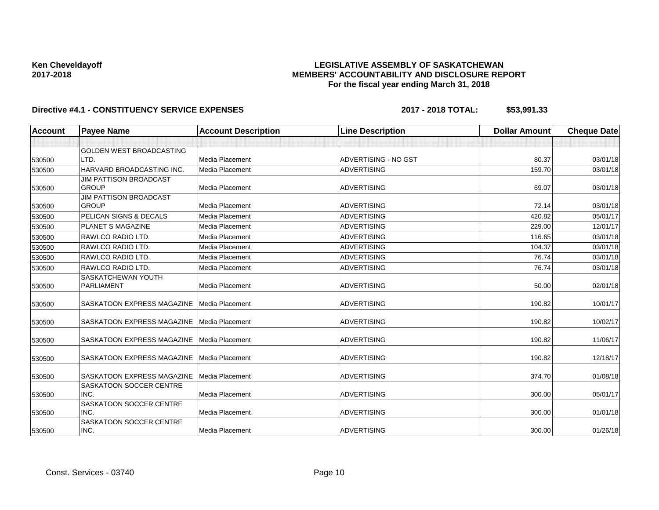## **LEGISLATIVE ASSEMBLY OF SASKATCHEWAN MEMBERS' ACCOUNTABILITY AND DISCLOSURE REPORT For the fiscal year ending March 31, 2018**

| <b>Account</b> | <b>Payee Name</b>                 | <b>Account Description</b> | <b>Line Description</b> | <b>Dollar Amount</b> | <b>Cheque Date</b> |
|----------------|-----------------------------------|----------------------------|-------------------------|----------------------|--------------------|
|                |                                   |                            |                         |                      |                    |
|                | <b>GOLDEN WEST BROADCASTING</b>   |                            |                         |                      |                    |
| 530500         | LTD.                              | Media Placement            | ADVERTISING - NO GST    | 80.37                | 03/01/18           |
| 530500         | HARVARD BROADCASTING INC.         | <b>Media Placement</b>     | <b>ADVERTISING</b>      | 159.70               | 03/01/18           |
|                | <b>JIM PATTISON BROADCAST</b>     |                            |                         |                      |                    |
| 530500         | <b>GROUP</b>                      | <b>Media Placement</b>     | <b>ADVERTISING</b>      | 69.07                | 03/01/18           |
|                | JIM PATTISON BROADCAST            |                            |                         |                      |                    |
| 530500         | <b>GROUP</b>                      | <b>Media Placement</b>     | <b>ADVERTISING</b>      | 72.14                | 03/01/18           |
| 530500         | <b>PELICAN SIGNS &amp; DECALS</b> | Media Placement            | <b>ADVERTISING</b>      | 420.82               | 05/01/17           |
| 530500         | <b>PLANET S MAGAZINE</b>          | Media Placement            | <b>ADVERTISING</b>      | 229.00               | 12/01/17           |
| 530500         | RAWLCO RADIO LTD.                 | Media Placement            | <b>ADVERTISING</b>      | 116.65               | 03/01/18           |
| 530500         | RAWLCO RADIO LTD.                 | Media Placement            | <b>ADVERTISING</b>      | 104.37               | 03/01/18           |
| 530500         | RAWLCO RADIO LTD.                 | Media Placement            | <b>ADVERTISING</b>      | 76.74                | 03/01/18           |
| 530500         | RAWLCO RADIO LTD.                 | <b>Media Placement</b>     | <b>ADVERTISING</b>      | 76.74                | 03/01/18           |
|                | <b>SASKATCHEWAN YOUTH</b>         |                            |                         |                      |                    |
| 530500         | <b>PARLIAMENT</b>                 | Media Placement            | <b>ADVERTISING</b>      | 50.00                | 02/01/18           |
| 530500         | <b>SASKATOON EXPRESS MAGAZINE</b> | Media Placement            | <b>ADVERTISING</b>      | 190.82               | 10/01/17           |
| 530500         | <b>SASKATOON EXPRESS MAGAZINE</b> | Media Placement            | <b>ADVERTISING</b>      | 190.82               | 10/02/17           |
| 530500         | SASKATOON EXPRESS MAGAZINE        | Media Placement            | <b>ADVERTISING</b>      | 190.82               | 11/06/17           |
| 530500         | <b>SASKATOON EXPRESS MAGAZINE</b> | Media Placement            | <b>ADVERTISING</b>      | 190.82               | 12/18/17           |
| 530500         | <b>SASKATOON EXPRESS MAGAZINE</b> | <b>Media Placement</b>     | <b>ADVERTISING</b>      | 374.70               | 01/08/18           |
|                | SASKATOON SOCCER CENTRE           |                            |                         |                      |                    |
| 530500         | INC.                              | Media Placement            | <b>ADVERTISING</b>      | 300.00               | 05/01/17           |
|                | SASKATOON SOCCER CENTRE           |                            |                         |                      |                    |
| 530500         | INC.                              | Media Placement            | <b>ADVERTISING</b>      | 300.00               | 01/01/18           |
|                | <b>SASKATOON SOCCER CENTRE</b>    |                            |                         |                      |                    |
| 530500         | INC.                              | Media Placement            | <b>ADVERTISING</b>      | 300.00               | 01/26/18           |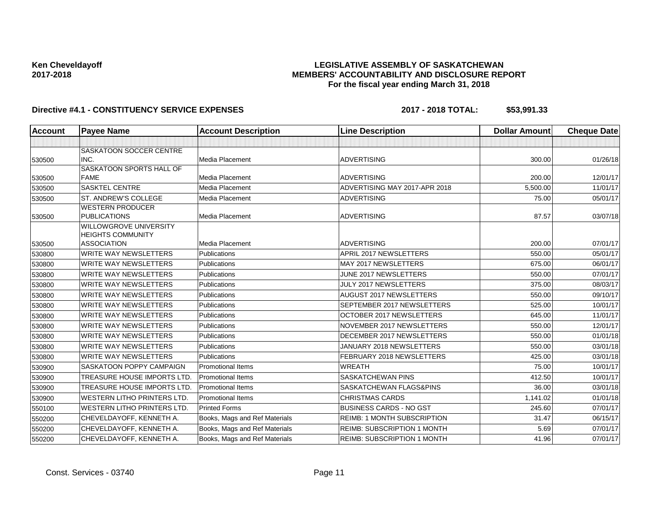## **LEGISLATIVE ASSEMBLY OF SASKATCHEWAN MEMBERS' ACCOUNTABILITY AND DISCLOSURE REPORT For the fiscal year ending March 31, 2018**

| <b>Account</b> | <b>Payee Name</b>                              | <b>Account Description</b>    | <b>Line Description</b>            | <b>Dollar Amount</b> | <b>Cheque Date</b> |
|----------------|------------------------------------------------|-------------------------------|------------------------------------|----------------------|--------------------|
|                |                                                |                               |                                    |                      |                    |
|                | SASKATOON SOCCER CENTRE                        |                               |                                    |                      |                    |
| 530500         | INC.                                           | Media Placement               | <b>ADVERTISING</b>                 | 300.00               | 01/26/18           |
|                | SASKATOON SPORTS HALL OF                       |                               |                                    |                      |                    |
| 530500         | <b>FAME</b>                                    | Media Placement               | <b>ADVERTISING</b>                 | 200.00               | 12/01/17           |
| 530500         | <b>SASKTEL CENTRE</b>                          | Media Placement               | ADVERTISING MAY 2017-APR 2018      | 5,500.00             | 11/01/17           |
| 530500         | ST. ANDREW'S COLLEGE                           | Media Placement               | <b>ADVERTISING</b>                 | 75.00                | 05/01/17           |
|                | <b>WESTERN PRODUCER</b>                        |                               |                                    |                      |                    |
| 530500         | <b>PUBLICATIONS</b>                            | Media Placement               | <b>ADVERTISING</b>                 | 87.57                | 03/07/18           |
|                | <b>WILLOWGROVE UNIVERSITY</b>                  |                               |                                    |                      |                    |
| 530500         | <b>HEIGHTS COMMUNITY</b><br><b>ASSOCIATION</b> | Media Placement               | <b>ADVERTISING</b>                 | 200.00               | 07/01/17           |
| 530800         | <b>WRITE WAY NEWSLETTERS</b>                   | Publications                  | APRIL 2017 NEWSLETTERS             | 550.00               | 05/01/17           |
| 530800         | <b>WRITE WAY NEWSLETTERS</b>                   | Publications                  | MAY 2017 NEWSLETTERS               | 675.00               | 06/01/17           |
| 530800         | <b>WRITE WAY NEWSLETTERS</b>                   | Publications                  | JUNE 2017 NEWSLETTERS              | 550.00               | 07/01/17           |
| 530800         | <b>WRITE WAY NEWSLETTERS</b>                   | Publications                  | JULY 2017 NEWSLETTERS              | 375.00               | 08/03/17           |
| 530800         | <b>WRITE WAY NEWSLETTERS</b>                   | Publications                  | AUGUST 2017 NEWSLETTERS            | 550.00               | 09/10/17           |
| 530800         | <b>WRITE WAY NEWSLETTERS</b>                   | Publications                  | SEPTEMBER 2017 NEWSLETTERS         | 525.00               | 10/01/17           |
| 530800         | <b>WRITE WAY NEWSLETTERS</b>                   | Publications                  | OCTOBER 2017 NEWSLETTERS           | 645.00               | 11/01/17           |
| 530800         | <b>WRITE WAY NEWSLETTERS</b>                   | <b>Publications</b>           | NOVEMBER 2017 NEWSLETTERS          | 550.00               | 12/01/17           |
| 530800         | <b>WRITE WAY NEWSLETTERS</b>                   | Publications                  | DECEMBER 2017 NEWSLETTERS          | 550.00               | 01/01/18           |
| 530800         | <b>WRITE WAY NEWSLETTERS</b>                   | Publications                  | JANUARY 2018 NEWSLETTERS           | 550.00               | 03/01/18           |
| 530800         | <b>WRITE WAY NEWSLETTERS</b>                   | Publications                  | FEBRUARY 2018 NEWSLETTERS          | 425.00               | 03/01/18           |
| 530900         | SASKATOON POPPY CAMPAIGN                       | <b>Promotional Items</b>      | <b>WREATH</b>                      | 75.00                | 10/01/17           |
| 530900         | TREASURE HOUSE IMPORTS LTD                     | <b>Promotional Items</b>      | <b>SASKATCHEWAN PINS</b>           | 412.50               | 10/01/17           |
| 530900         | TREASURE HOUSE IMPORTS LTD                     | <b>Promotional Items</b>      | SASKATCHEWAN FLAGS&PINS            | 36.00                | 03/01/18           |
| 530900         | <b>WESTERN LITHO PRINTERS LTD.</b>             | Promotional Items             | <b>CHRISTMAS CARDS</b>             | 1,141.02             | 01/01/18           |
| 550100         | <b>WESTERN LITHO PRINTERS LTD.</b>             | <b>Printed Forms</b>          | <b>BUSINESS CARDS - NO GST</b>     | 245.60               | 07/01/17           |
| 550200         | CHEVELDAYOFF, KENNETH A.                       | Books, Mags and Ref Materials | <b>REIMB: 1 MONTH SUBSCRIPTION</b> | 31.47                | 06/15/17           |
| 550200         | CHEVELDAYOFF, KENNETH A.                       | Books, Mags and Ref Materials | <b>REIMB: SUBSCRIPTION 1 MONTH</b> | 5.69                 | 07/01/17           |
| 550200         | CHEVELDAYOFF, KENNETH A.                       | Books, Mags and Ref Materials | <b>REIMB: SUBSCRIPTION 1 MONTH</b> | 41.96                | 07/01/17           |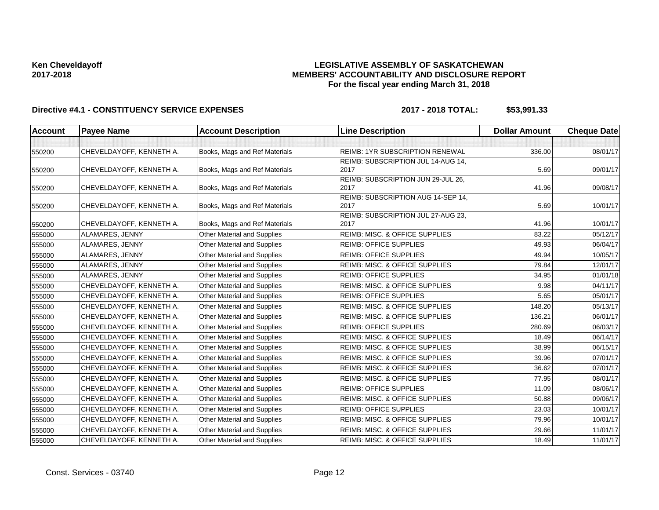## **LEGISLATIVE ASSEMBLY OF SASKATCHEWAN MEMBERS' ACCOUNTABILITY AND DISCLOSURE REPORT For the fiscal year ending March 31, 2018**

| <b>Account</b> | <b>Payee Name</b>        | <b>Account Description</b>         | <b>Line Description</b>                    | <b>Dollar Amount</b> | <b>Cheque Date</b> |
|----------------|--------------------------|------------------------------------|--------------------------------------------|----------------------|--------------------|
|                |                          |                                    |                                            |                      |                    |
| 550200         | CHEVELDAYOFF, KENNETH A. | Books, Mags and Ref Materials      | <b>REIMB: 1YR SUBSCRIPTION RENEWAL</b>     | 336.00               | 08/01/17           |
|                |                          |                                    | REIMB: SUBSCRIPTION JUL 14-AUG 14,         |                      |                    |
| 550200         | CHEVELDAYOFF, KENNETH A. | Books, Mags and Ref Materials      | 2017                                       | 5.69                 | 09/01/17           |
|                |                          |                                    | REIMB: SUBSCRIPTION JUN 29-JUL 26,         |                      |                    |
| 550200         | CHEVELDAYOFF, KENNETH A. | Books, Mags and Ref Materials      | 2017                                       | 41.96                | 09/08/17           |
|                |                          |                                    | REIMB: SUBSCRIPTION AUG 14-SEP 14,<br>2017 |                      |                    |
| 550200         | CHEVELDAYOFF, KENNETH A. | Books, Mags and Ref Materials      | REIMB: SUBSCRIPTION JUL 27-AUG 23,         | 5.69                 | 10/01/17           |
| 550200         | CHEVELDAYOFF, KENNETH A. | Books, Mags and Ref Materials      | 2017                                       | 41.96                | 10/01/17           |
| 555000         | ALAMARES, JENNY          | Other Material and Supplies        | REIMB: MISC. & OFFICE SUPPLIES             | 83.22                | 05/12/17           |
| 555000         | ALAMARES, JENNY          | Other Material and Supplies        | <b>REIMB: OFFICE SUPPLIES</b>              | 49.93                | 06/04/17           |
| 555000         | ALAMARES, JENNY          | Other Material and Supplies        | <b>REIMB: OFFICE SUPPLIES</b>              | 49.94                | 10/05/17           |
| 555000         | ALAMARES, JENNY          | Other Material and Supplies        | <b>REIMB: MISC. &amp; OFFICE SUPPLIES</b>  | 79.84                | 12/01/17           |
| 555000         | ALAMARES, JENNY          | Other Material and Supplies        | <b>REIMB: OFFICE SUPPLIES</b>              | 34.95                | 01/01/18           |
| 555000         | CHEVELDAYOFF, KENNETH A. | Other Material and Supplies        | REIMB: MISC. & OFFICE SUPPLIES             | 9.98                 | 04/11/17           |
| 555000         | CHEVELDAYOFF, KENNETH A. | Other Material and Supplies        | <b>REIMB: OFFICE SUPPLIES</b>              | 5.65                 | 05/01/17           |
| 555000         | CHEVELDAYOFF, KENNETH A. | Other Material and Supplies        | REIMB: MISC. & OFFICE SUPPLIES             | 148.20               | 05/13/17           |
| 555000         | CHEVELDAYOFF, KENNETH A. | Other Material and Supplies        | REIMB: MISC. & OFFICE SUPPLIES             | 136.21               | 06/01/17           |
| 555000         | CHEVELDAYOFF, KENNETH A. | <b>Other Material and Supplies</b> | <b>REIMB: OFFICE SUPPLIES</b>              | 280.69               | 06/03/17           |
| 555000         | CHEVELDAYOFF, KENNETH A. | Other Material and Supplies        | REIMB: MISC. & OFFICE SUPPLIES             | 18.49                | 06/14/17           |
| 555000         | CHEVELDAYOFF, KENNETH A. | Other Material and Supplies        | REIMB: MISC. & OFFICE SUPPLIES             | 38.99                | 06/15/17           |
| 555000         | CHEVELDAYOFF, KENNETH A. | Other Material and Supplies        | REIMB: MISC. & OFFICE SUPPLIES             | 39.96                | 07/01/17           |
| 555000         | CHEVELDAYOFF, KENNETH A. | Other Material and Supplies        | REIMB: MISC. & OFFICE SUPPLIES             | 36.62                | 07/01/17           |
| 555000         | CHEVELDAYOFF, KENNETH A. | <b>Other Material and Supplies</b> | <b>REIMB: MISC. &amp; OFFICE SUPPLIES</b>  | 77.95                | 08/01/17           |
| 555000         | CHEVELDAYOFF, KENNETH A. | Other Material and Supplies        | <b>REIMB: OFFICE SUPPLIES</b>              | 11.09                | 08/06/17           |
| 555000         | CHEVELDAYOFF, KENNETH A. | Other Material and Supplies        | REIMB: MISC. & OFFICE SUPPLIES             | 50.88                | 09/06/17           |
| 555000         | CHEVELDAYOFF, KENNETH A. | Other Material and Supplies        | <b>REIMB: OFFICE SUPPLIES</b>              | 23.03                | 10/01/17           |
| 555000         | CHEVELDAYOFF, KENNETH A. | Other Material and Supplies        | <b>REIMB: MISC. &amp; OFFICE SUPPLIES</b>  | 79.96                | 10/01/17           |
| 555000         | CHEVELDAYOFF, KENNETH A. | Other Material and Supplies        | REIMB: MISC. & OFFICE SUPPLIES             | 29.66                | 11/01/17           |
| 555000         | CHEVELDAYOFF, KENNETH A. | Other Material and Supplies        | <b>REIMB: MISC. &amp; OFFICE SUPPLIES</b>  | 18.49                | 11/01/17           |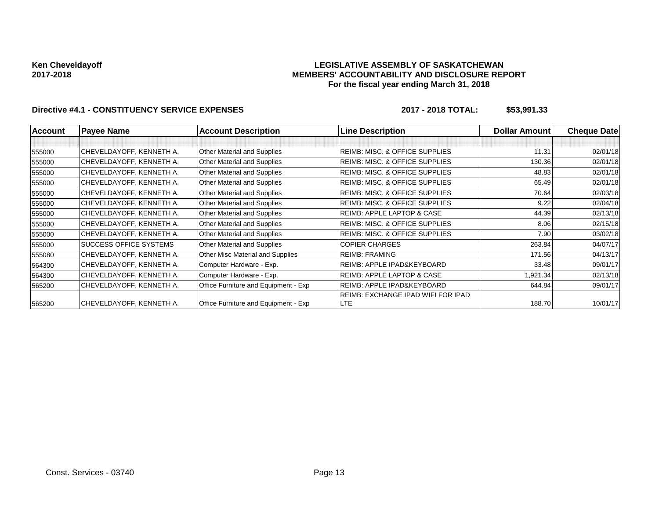### **LEGISLATIVE ASSEMBLY OF SASKATCHEWAN MEMBERS' ACCOUNTABILITY AND DISCLOSURE REPORT For the fiscal year ending March 31, 2018**

| <b>Account</b> | <b>Payee Name</b>        | <b>Account Description</b>           | <b>Line Description</b>                   | <b>Dollar Amountl</b> | <b>Cheque Date</b> |
|----------------|--------------------------|--------------------------------------|-------------------------------------------|-----------------------|--------------------|
|                |                          |                                      |                                           |                       |                    |
| 555000         | CHEVELDAYOFF, KENNETH A. | Other Material and Supplies          | <b>REIMB: MISC. &amp; OFFICE SUPPLIES</b> | 11.31                 | 02/01/18           |
| 555000         | CHEVELDAYOFF, KENNETH A. | Other Material and Supplies          | REIMB: MISC. & OFFICE SUPPLIES            | 130.36                | 02/01/18           |
| 555000         | CHEVELDAYOFF, KENNETH A. | Other Material and Supplies          | REIMB: MISC. & OFFICE SUPPLIES            | 48.83                 | 02/01/18           |
| 555000         | CHEVELDAYOFF, KENNETH A. | Other Material and Supplies          | REIMB: MISC. & OFFICE SUPPLIES            | 65.49                 | 02/01/18           |
| 555000         | CHEVELDAYOFF, KENNETH A. | Other Material and Supplies          | REIMB: MISC. & OFFICE SUPPLIES            | 70.64                 | 02/03/18           |
| 555000         | CHEVELDAYOFF, KENNETH A. | Other Material and Supplies          | REIMB: MISC. & OFFICE SUPPLIES            | 9.22                  | 02/04/18           |
| 555000         | CHEVELDAYOFF, KENNETH A. | Other Material and Supplies          | REIMB: APPLE LAPTOP & CASE                | 44.39                 | 02/13/18           |
| 555000         | CHEVELDAYOFF, KENNETH A. | Other Material and Supplies          | REIMB: MISC. & OFFICE SUPPLIES            | 8.06                  | 02/15/18           |
| 555000         | CHEVELDAYOFF, KENNETH A. | Other Material and Supplies          | REIMB: MISC. & OFFICE SUPPLIES            | 7.90                  | 03/02/18           |
| 555000         | SUCCESS OFFICE SYSTEMS   | Other Material and Supplies          | <b>COPIER CHARGES</b>                     | 263.84                | 04/07/17           |
| 555080         | CHEVELDAYOFF, KENNETH A. | Other Misc Material and Supplies     | <b>REIMB: FRAMING</b>                     | 171.56                | 04/13/17           |
| 564300         | CHEVELDAYOFF, KENNETH A. | Computer Hardware - Exp.             | REIMB: APPLE IPAD&KEYBOARD                | 33.48                 | 09/01/17           |
| 564300         | CHEVELDAYOFF, KENNETH A. | Computer Hardware - Exp.             | REIMB: APPLE LAPTOP & CASE                | 1,921.34              | 02/13/18           |
| 565200         | CHEVELDAYOFF, KENNETH A. | Office Furniture and Equipment - Exp | REIMB: APPLE IPAD&KEYBOARD                | 644.84                | 09/01/17           |
|                |                          |                                      | REIMB: EXCHANGE IPAD WIFI FOR IPAD        |                       |                    |
| 565200         | CHEVELDAYOFF, KENNETH A. | Office Furniture and Equipment - Exp | LTE                                       | 188.70                | 10/01/17           |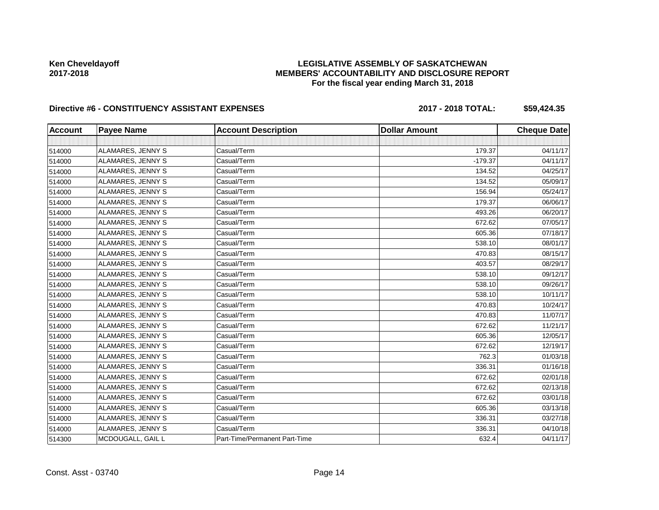## **LEGISLATIVE ASSEMBLY OF SASKATCHEWAN MEMBERS' ACCOUNTABILITY AND DISCLOSURE REPORT For the fiscal year ending March 31, 2018**

## Directive #6 - CONSTITUENCY ASSISTANT EXPENSES 2017 - 2018 TOTAL: \$59,424.35

| <b>Account</b> | <b>Payee Name</b> | <b>Account Description</b>    | <b>Dollar Amount</b> | <b>Cheque Date</b> |
|----------------|-------------------|-------------------------------|----------------------|--------------------|
|                |                   |                               |                      |                    |
| 514000         | ALAMARES, JENNY S | Casual/Term                   | 179.37               | 04/11/17           |
| 514000         | ALAMARES, JENNY S | Casual/Term                   | $-179.37$            | 04/11/17           |
| 514000         | ALAMARES, JENNY S | Casual/Term                   | 134.52               | 04/25/17           |
| 514000         | ALAMARES, JENNY S | Casual/Term                   | 134.52               | 05/09/17           |
| 514000         | ALAMARES, JENNY S | Casual/Term                   | 156.94               | 05/24/17           |
| 514000         | ALAMARES, JENNY S | Casual/Term                   | 179.37               | 06/06/17           |
| 514000         | ALAMARES, JENNY S | Casual/Term                   | 493.26               | 06/20/17           |
| 514000         | ALAMARES, JENNY S | Casual/Term                   | 672.62               | 07/05/17           |
| 514000         | ALAMARES, JENNY S | Casual/Term                   | 605.36               | 07/18/17           |
| 514000         | ALAMARES, JENNY S | Casual/Term                   | 538.10               | 08/01/17           |
| 514000         | ALAMARES, JENNY S | Casual/Term                   | 470.83               | 08/15/17           |
| 514000         | ALAMARES, JENNY S | Casual/Term                   | 403.57               | 08/29/17           |
| 514000         | ALAMARES, JENNY S | Casual/Term                   | 538.10               | 09/12/17           |
| 514000         | ALAMARES, JENNY S | Casual/Term                   | 538.10               | 09/26/17           |
| 514000         | ALAMARES, JENNY S | Casual/Term                   | 538.10               | 10/11/17           |
| 514000         | ALAMARES, JENNY S | Casual/Term                   | 470.83               | 10/24/17           |
| 514000         | ALAMARES, JENNY S | Casual/Term                   | 470.83               | 11/07/17           |
| 514000         | ALAMARES, JENNY S | Casual/Term                   | 672.62               | 11/21/17           |
| 514000         | ALAMARES, JENNY S | Casual/Term                   | 605.36               | 12/05/17           |
| 514000         | ALAMARES, JENNY S | Casual/Term                   | 672.62               | 12/19/17           |
| 514000         | ALAMARES, JENNY S | Casual/Term                   | 762.3                | 01/03/18           |
| 514000         | ALAMARES, JENNY S | Casual/Term                   | 336.31               | 01/16/18           |
| 514000         | ALAMARES, JENNY S | Casual/Term                   | 672.62               | 02/01/18           |
| 514000         | ALAMARES, JENNY S | Casual/Term                   | 672.62               | 02/13/18           |
| 514000         | ALAMARES, JENNY S | Casual/Term                   | 672.62               | 03/01/18           |
| 514000         | ALAMARES, JENNY S | Casual/Term                   | 605.36               | 03/13/18           |
| 514000         | ALAMARES, JENNY S | Casual/Term                   | 336.31               | 03/27/18           |
| 514000         | ALAMARES, JENNY S | Casual/Term                   | 336.31               | 04/10/18           |
| 514300         | MCDOUGALL, GAIL L | Part-Time/Permanent Part-Time | 632.4                | 04/11/17           |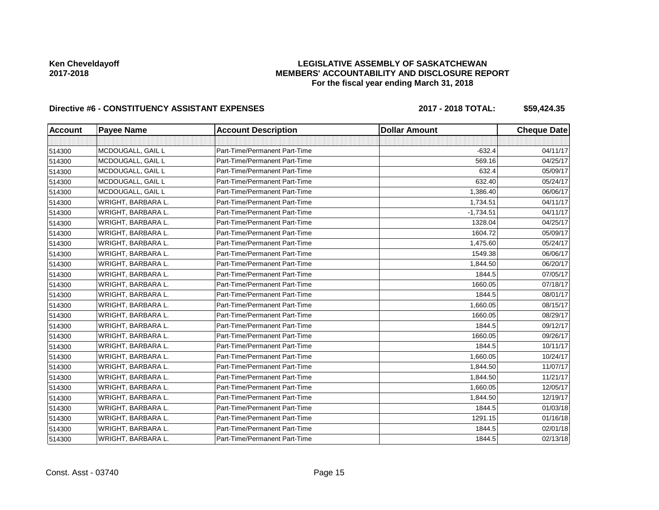## **LEGISLATIVE ASSEMBLY OF SASKATCHEWAN MEMBERS' ACCOUNTABILITY AND DISCLOSURE REPORT For the fiscal year ending March 31, 2018**

# Directive #6 - CONSTITUENCY ASSISTANT EXPENSES 2017 - 2018 TOTAL: \$59,424.35

| <b>Account</b> | <b>Payee Name</b>  | <b>Account Description</b>    | <b>Dollar Amount</b> | <b>Cheque Date</b> |
|----------------|--------------------|-------------------------------|----------------------|--------------------|
|                |                    |                               |                      |                    |
| 514300         | MCDOUGALL, GAIL L  | Part-Time/Permanent Part-Time | $-632.4$             | 04/11/17           |
| 514300         | MCDOUGALL, GAIL L  | Part-Time/Permanent Part-Time | 569.16               | 04/25/17           |
| 514300         | MCDOUGALL, GAIL L  | Part-Time/Permanent Part-Time | 632.4                | 05/09/17           |
| 514300         | MCDOUGALL, GAIL L  | Part-Time/Permanent Part-Time | 632.40               | 05/24/17           |
| 514300         | MCDOUGALL, GAIL L  | Part-Time/Permanent Part-Time | 1,386.40             | 06/06/17           |
| 514300         | WRIGHT, BARBARA L. | Part-Time/Permanent Part-Time | 1,734.51             | 04/11/17           |
| 514300         | WRIGHT, BARBARA L. | Part-Time/Permanent Part-Time | $-1,734.51$          | 04/11/17           |
| 514300         | WRIGHT, BARBARA L. | Part-Time/Permanent Part-Time | 1328.04              | 04/25/17           |
| 514300         | WRIGHT, BARBARA L. | Part-Time/Permanent Part-Time | 1604.72              | 05/09/17           |
| 514300         | WRIGHT, BARBARA L. | Part-Time/Permanent Part-Time | 1,475.60             | 05/24/17           |
| 514300         | WRIGHT, BARBARA L. | Part-Time/Permanent Part-Time | 1549.38              | 06/06/17           |
| 514300         | WRIGHT, BARBARA L. | Part-Time/Permanent Part-Time | 1,844.50             | 06/20/17           |
| 514300         | WRIGHT, BARBARA L. | Part-Time/Permanent Part-Time | 1844.5               | 07/05/17           |
| 514300         | WRIGHT, BARBARA L. | Part-Time/Permanent Part-Time | 1660.05              | 07/18/17           |
| 514300         | WRIGHT, BARBARA L. | Part-Time/Permanent Part-Time | 1844.5               | 08/01/17           |
| 514300         | WRIGHT, BARBARA L. | Part-Time/Permanent Part-Time | 1,660.05             | 08/15/17           |
| 514300         | WRIGHT, BARBARA L. | Part-Time/Permanent Part-Time | 1660.05              | 08/29/17           |
| 514300         | WRIGHT, BARBARA L. | Part-Time/Permanent Part-Time | 1844.5               | 09/12/17           |
| 514300         | WRIGHT, BARBARA L. | Part-Time/Permanent Part-Time | 1660.05              | 09/26/17           |
| 514300         | WRIGHT, BARBARA L. | Part-Time/Permanent Part-Time | 1844.5               | 10/11/17           |
| 514300         | WRIGHT, BARBARA L. | Part-Time/Permanent Part-Time | 1,660.05             | 10/24/17           |
| 514300         | WRIGHT, BARBARA L. | Part-Time/Permanent Part-Time | 1,844.50             | 11/07/17           |
| 514300         | WRIGHT, BARBARA L. | Part-Time/Permanent Part-Time | 1,844.50             | 11/21/17           |
| 514300         | WRIGHT, BARBARA L. | Part-Time/Permanent Part-Time | 1,660.05             | 12/05/17           |
| 514300         | WRIGHT, BARBARA L. | Part-Time/Permanent Part-Time | 1,844.50             | 12/19/17           |
| 514300         | WRIGHT, BARBARA L. | Part-Time/Permanent Part-Time | 1844.5               | 01/03/18           |
| 514300         | WRIGHT, BARBARA L. | Part-Time/Permanent Part-Time | 1291.15              | 01/16/18           |
| 514300         | WRIGHT, BARBARA L. | Part-Time/Permanent Part-Time | 1844.5               | 02/01/18           |
| 514300         | WRIGHT, BARBARA L. | Part-Time/Permanent Part-Time | 1844.5               | 02/13/18           |